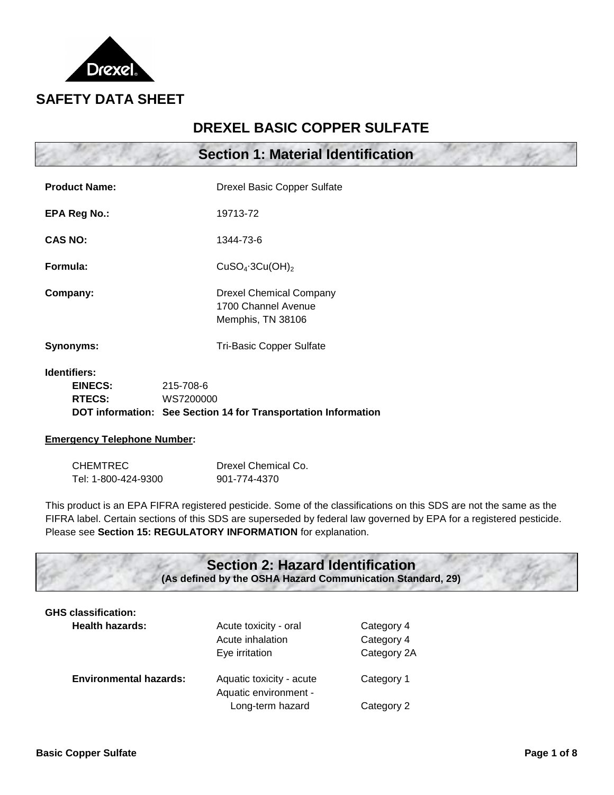

# **DREXEL BASIC COPPER SULFATE**

|                      | <b>Section 1: Material Identification</b>                                  |  |  |
|----------------------|----------------------------------------------------------------------------|--|--|
| <b>Product Name:</b> | <b>Drexel Basic Copper Sulfate</b>                                         |  |  |
| EPA Reg No.:         | 19713-72                                                                   |  |  |
| <b>CAS NO:</b>       | 1344-73-6                                                                  |  |  |
| Formula:             | CuSO <sub>4</sub> ·3Cu(OH) <sub>2</sub>                                    |  |  |
| Company:             | <b>Drexel Chemical Company</b><br>1700 Channel Avenue<br>Memphis, TN 38106 |  |  |
| Synonyms:            | <b>Tri-Basic Copper Sulfate</b>                                            |  |  |
|                      |                                                                            |  |  |

**Identifiers:**

| EINECS:       | 215-708-6                                                      |
|---------------|----------------------------------------------------------------|
| <b>RTECS:</b> | WS7200000                                                      |
|               | DOT information: See Section 14 for Transportation Information |

#### **Emergency Telephone Number:**

| <b>CHEMTREC</b>     | Drexel Chemical Co. |
|---------------------|---------------------|
| Tel: 1-800-424-9300 | 901-774-4370        |

This product is an EPA FIFRA registered pesticide. Some of the classifications on this SDS are not the same as the FIFRA label. Certain sections of this SDS are superseded by federal law governed by EPA for a registered pesticide. Please see **Section 15: REGULATORY INFORMATION** for explanation.

#### **Section 2: Hazard Identification (As defined by the OSHA Hazard Communication Standard, 29)**

| <b>GHS classification:</b>    |                                                             |                                         |
|-------------------------------|-------------------------------------------------------------|-----------------------------------------|
| <b>Health hazards:</b>        | Acute toxicity - oral<br>Acute inhalation<br>Eye irritation | Category 4<br>Category 4<br>Category 2A |
| <b>Environmental hazards:</b> | Aquatic toxicity - acute<br>Aquatic environment -           | Category 1                              |
|                               | Long-term hazard                                            | Category 2                              |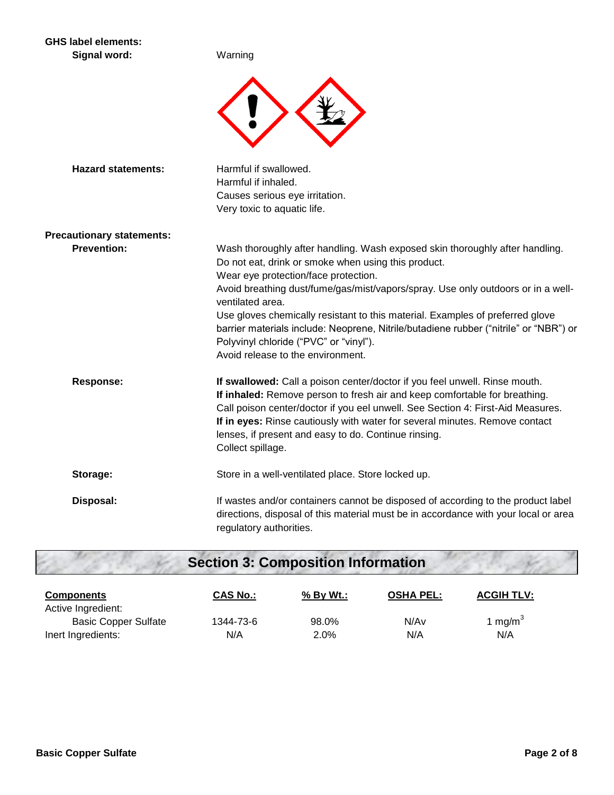#### **GHS label elements:** Signal word: Warning



| <b>Hazard statements:</b>        | Harmful if swallowed.<br>Harmful if inhaled.<br>Causes serious eye irritation.<br>Very toxic to aquatic life.                                                                                                                                                                                                                                                                                                                                                                                                                                |
|----------------------------------|----------------------------------------------------------------------------------------------------------------------------------------------------------------------------------------------------------------------------------------------------------------------------------------------------------------------------------------------------------------------------------------------------------------------------------------------------------------------------------------------------------------------------------------------|
| <b>Precautionary statements:</b> |                                                                                                                                                                                                                                                                                                                                                                                                                                                                                                                                              |
| <b>Prevention:</b>               | Wash thoroughly after handling. Wash exposed skin thoroughly after handling.<br>Do not eat, drink or smoke when using this product.<br>Wear eye protection/face protection.<br>Avoid breathing dust/fume/gas/mist/vapors/spray. Use only outdoors or in a well-<br>ventilated area.<br>Use gloves chemically resistant to this material. Examples of preferred glove<br>barrier materials include: Neoprene, Nitrile/butadiene rubber ("nitrile" or "NBR") or<br>Polyvinyl chloride ("PVC" or "vinyl").<br>Avoid release to the environment. |
| <b>Response:</b>                 | If swallowed: Call a poison center/doctor if you feel unwell. Rinse mouth.<br>If inhaled: Remove person to fresh air and keep comfortable for breathing.<br>Call poison center/doctor if you eel unwell. See Section 4: First-Aid Measures.<br>If in eyes: Rinse cautiously with water for several minutes. Remove contact<br>lenses, if present and easy to do. Continue rinsing.<br>Collect spillage.                                                                                                                                      |
| Storage:                         | Store in a well-ventilated place. Store locked up.                                                                                                                                                                                                                                                                                                                                                                                                                                                                                           |
| Disposal:                        | If wastes and/or containers cannot be disposed of according to the product label<br>directions, disposal of this material must be in accordance with your local or area<br>regulatory authorities.                                                                                                                                                                                                                                                                                                                                           |

# **Section 3: Composition Information**

| <b>Components</b><br>Active Ingredient: | <b>CAS No.:</b> | % By Wt.: | <b>OSHA PEL:</b> | <b>ACGIH TLV:</b> |
|-----------------------------------------|-----------------|-----------|------------------|-------------------|
| <b>Basic Copper Sulfate</b>             | 1344-73-6       | 98.0%     | N/Av             | 1 mg/m $3$        |
| Inert Ingredients:                      | N/A             | 2.0%      | N/A              | N/A               |

- 6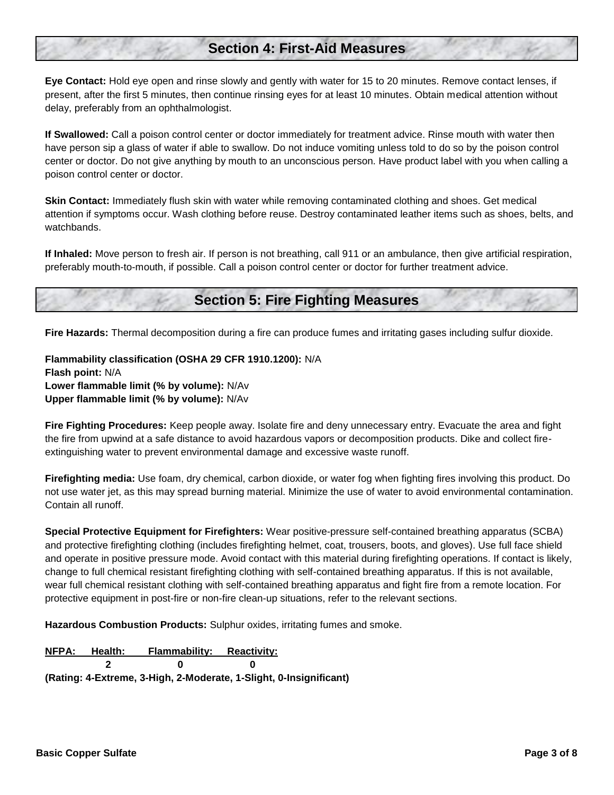## **Section 4: First-Aid Measures**

**Eye Contact:** Hold eye open and rinse slowly and gently with water for 15 to 20 minutes. Remove contact lenses, if present, after the first 5 minutes, then continue rinsing eyes for at least 10 minutes. Obtain medical attention without delay, preferably from an ophthalmologist.

**If Swallowed:** Call a poison control center or doctor immediately for treatment advice. Rinse mouth with water then have person sip a glass of water if able to swallow. Do not induce vomiting unless told to do so by the poison control center or doctor. Do not give anything by mouth to an unconscious person. Have product label with you when calling a poison control center or doctor.

**Skin Contact:** Immediately flush skin with water while removing contaminated clothing and shoes. Get medical attention if symptoms occur. Wash clothing before reuse. Destroy contaminated leather items such as shoes, belts, and watchbands.

**If Inhaled:** Move person to fresh air. If person is not breathing, call 911 or an ambulance, then give artificial respiration, preferably mouth-to-mouth, if possible. Call a poison control center or doctor for further treatment advice.

### **Section 5: Fire Fighting Measures**

**Fire Hazards:** Thermal decomposition during a fire can produce fumes and irritating gases including sulfur dioxide.

**Flammability classification (OSHA 29 CFR 1910.1200):** N/A **Flash point:** N/A **Lower flammable limit (% by volume):** N/Av **Upper flammable limit (% by volume):** N/Av

**Fire Fighting Procedures:** Keep people away. Isolate fire and deny unnecessary entry. Evacuate the area and fight the fire from upwind at a safe distance to avoid hazardous vapors or decomposition products. Dike and collect fireextinguishing water to prevent environmental damage and excessive waste runoff.

**Firefighting media:** Use foam, dry chemical, carbon dioxide, or water fog when fighting fires involving this product. Do not use water jet, as this may spread burning material. Minimize the use of water to avoid environmental contamination. Contain all runoff.

**Special Protective Equipment for Firefighters:** Wear positive-pressure self-contained breathing apparatus (SCBA) and protective firefighting clothing (includes firefighting helmet, coat, trousers, boots, and gloves). Use full face shield and operate in positive pressure mode. Avoid contact with this material during firefighting operations. If contact is likely, change to full chemical resistant firefighting clothing with self-contained breathing apparatus. If this is not available, wear full chemical resistant clothing with self-contained breathing apparatus and fight fire from a remote location. For protective equipment in post-fire or non-fire clean-up situations, refer to the relevant sections.

**Hazardous Combustion Products:** Sulphur oxides, irritating fumes and smoke.

**NFPA: Health: Flammability: Reactivity: 2 0 0 (Rating: 4-Extreme, 3-High, 2-Moderate, 1-Slight, 0-Insignificant)**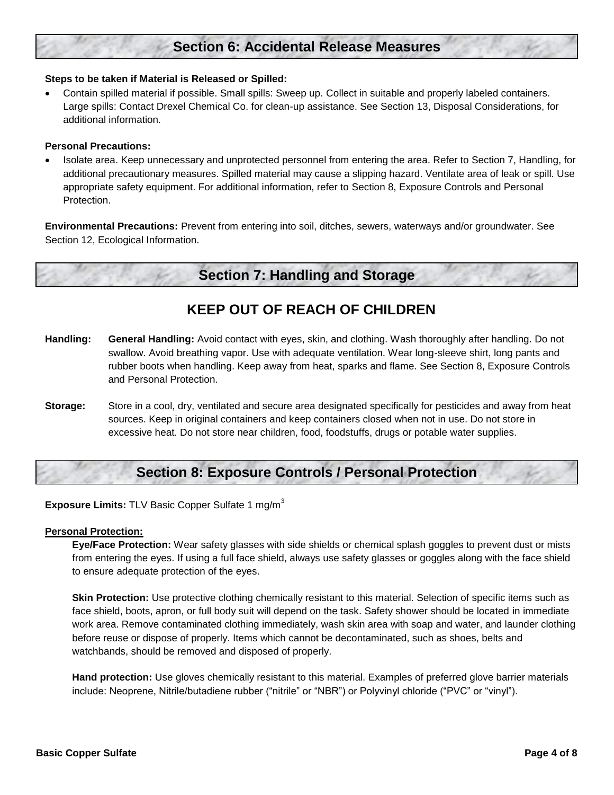# **Section 6: Accidental Release Measures**

#### **Steps to be taken if Material is Released or Spilled:**

 Contain spilled material if possible. Small spills: Sweep up. Collect in suitable and properly labeled containers. Large spills: Contact Drexel Chemical Co. for clean-up assistance. See Section 13, Disposal Considerations, for additional information.

#### **Personal Precautions:**

 Isolate area. Keep unnecessary and unprotected personnel from entering the area. Refer to Section 7, Handling, for additional precautionary measures. Spilled material may cause a slipping hazard. Ventilate area of leak or spill. Use appropriate safety equipment. For additional information, refer to Section 8, Exposure Controls and Personal Protection.

**Environmental Precautions:** Prevent from entering into soil, ditches, sewers, waterways and/or groundwater. See Section 12, Ecological Information.

### **Section 7: Handling and Storage**

## **KEEP OUT OF REACH OF CHILDREN**

- **Handling: General Handling:** Avoid contact with eyes, skin, and clothing. Wash thoroughly after handling. Do not swallow. Avoid breathing vapor. Use with adequate ventilation. Wear long-sleeve shirt, long pants and rubber boots when handling. Keep away from heat, sparks and flame. See Section 8, Exposure Controls and Personal Protection.
- **Storage:** Store in a cool, dry, ventilated and secure area designated specifically for pesticides and away from heat sources. Keep in original containers and keep containers closed when not in use. Do not store in excessive heat. Do not store near children, food, foodstuffs, drugs or potable water supplies.

### **Section 8: Exposure Controls / Personal Protection**

**Exposure Limits:** TLV Basic Copper Sulfate 1 mg/m<sup>3</sup>

#### **Personal Protection:**

**Eye/Face Protection:** Wear safety glasses with side shields or chemical splash goggles to prevent dust or mists from entering the eyes. If using a full face shield, always use safety glasses or goggles along with the face shield to ensure adequate protection of the eyes.

**Skin Protection:** Use protective clothing chemically resistant to this material. Selection of specific items such as face shield, boots, apron, or full body suit will depend on the task. Safety shower should be located in immediate work area. Remove contaminated clothing immediately, wash skin area with soap and water, and launder clothing before reuse or dispose of properly. Items which cannot be decontaminated, such as shoes, belts and watchbands, should be removed and disposed of properly.

**Hand protection:** Use gloves chemically resistant to this material. Examples of preferred glove barrier materials include: Neoprene, Nitrile/butadiene rubber ("nitrile" or "NBR") or Polyvinyl chloride ("PVC" or "vinyl").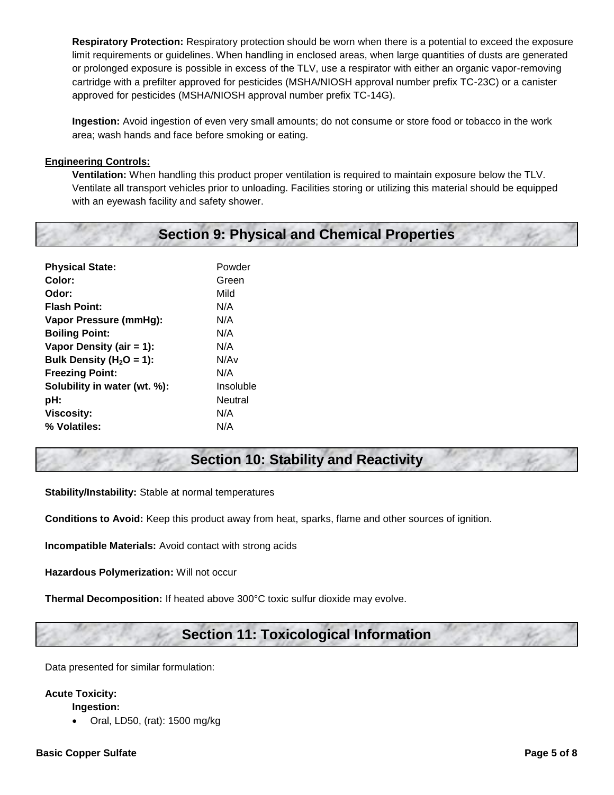**Respiratory Protection:** Respiratory protection should be worn when there is a potential to exceed the exposure limit requirements or guidelines. When handling in enclosed areas, when large quantities of dusts are generated or prolonged exposure is possible in excess of the TLV, use a respirator with either an organic vapor-removing cartridge with a prefilter approved for pesticides (MSHA/NIOSH approval number prefix TC-23C) or a canister approved for pesticides (MSHA/NIOSH approval number prefix TC-14G).

**Ingestion:** Avoid ingestion of even very small amounts; do not consume or store food or tobacco in the work area; wash hands and face before smoking or eating.

#### **Engineering Controls:**

**Ventilation:** When handling this product proper ventilation is required to maintain exposure below the TLV. Ventilate all transport vehicles prior to unloading. Facilities storing or utilizing this material should be equipped with an eyewash facility and safety shower.

# **Section 9: Physical and Chemical Properties**

| <b>Physical State:</b>       | Powder    |
|------------------------------|-----------|
| Color:                       | Green     |
| Odor:                        | Mild      |
| <b>Flash Point:</b>          | N/A       |
| Vapor Pressure (mmHg):       | N/A       |
| <b>Boiling Point:</b>        | N/A       |
| Vapor Density (air = $1$ ):  | N/A       |
| Bulk Density ( $H_2O = 1$ ): | N/Av      |
| <b>Freezing Point:</b>       | N/A       |
| Solubility in water (wt. %): | Insoluble |
| pH:                          | Neutral   |
| <b>Viscosity:</b>            | N/A       |
| % Volatiles:                 | N/A       |

### **Section 10: Stability and Reactivity**

**Stability/Instability:** Stable at normal temperatures

**Conditions to Avoid:** Keep this product away from heat, sparks, flame and other sources of ignition.

**Incompatible Materials:** Avoid contact with strong acids

**Hazardous Polymerization:** Will not occur

**Thermal Decomposition:** If heated above 300°C toxic sulfur dioxide may evolve.

### **Section 11: Toxicological Information**

Data presented for similar formulation:

#### **Acute Toxicity:**

**Ingestion:**

Oral, LD50, (rat): 1500 mg/kg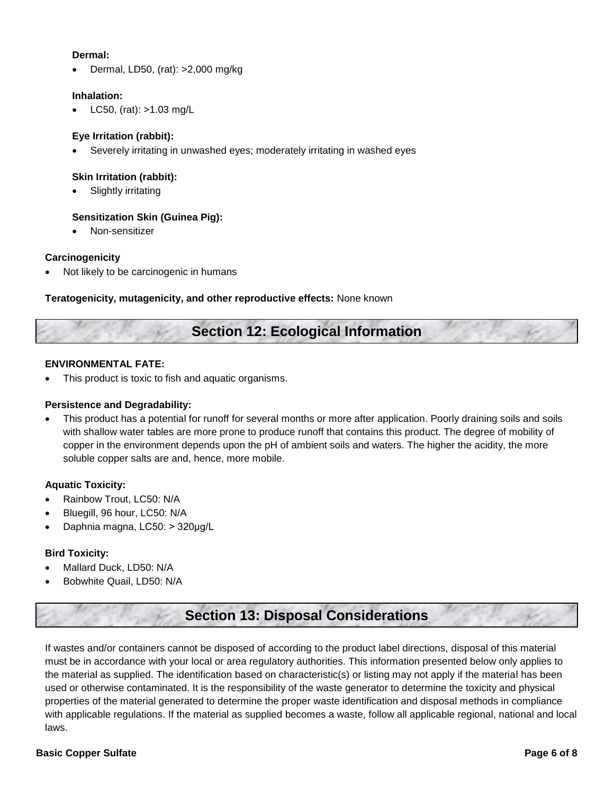#### **Dermal:**

Dermal, LD50, (rat): >2,000 mg/kg

#### **Inhalation:**

LC50, (rat): >1.03 mg/L

#### **Eye Irritation (rabbit):**

Severely irritating in unwashed eyes; moderately irritating in washed eyes

#### **Skin Irritation (rabbit):**

Slightly irritating

#### **Sensitization Skin (Guinea Pig):**

Non-sensitizer

#### **Carcinogenicity**

Not likely to be carcinogenic in humans

#### **Teratogenicity, mutagenicity, and other reproductive effects:** None known

### **Section 12: Ecological Information**

#### **ENVIRONMENTAL FATE:**

This product is toxic to fish and aquatic organisms.

#### **Persistence and Degradability:**

 This product has a potential for runoff for several months or more after application. Poorly draining soils and soils with shallow water tables are more prone to produce runoff that contains this product. The degree of mobility of copper in the environment depends upon the pH of ambient soils and waters. The higher the acidity, the more soluble copper salts are and, hence, more mobile.

#### **Aquatic Toxicity:**

- Rainbow Trout, LC50: N/A
- Bluegill, 96 hour, LC50: N/A
- Daphnia magna, LC50: > 320μg/L

#### **Bird Toxicity:**

- Mallard Duck, LD50: N/A
- Bobwhite Quail, LD50: N/A

# **Section 13: Disposal Considerations**

If wastes and/or containers cannot be disposed of according to the product label directions, disposal of this material must be in accordance with your local or area regulatory authorities. This information presented below only applies to the material as supplied. The identification based on characteristic(s) or listing may not apply if the material has been used or otherwise contaminated. It is the responsibility of the waste generator to determine the toxicity and physical properties of the material generated to determine the proper waste identification and disposal methods in compliance with applicable regulations. If the material as supplied becomes a waste, follow all applicable regional, national and local laws.

#### **Basic Copper Sulfate Page 6 of 8**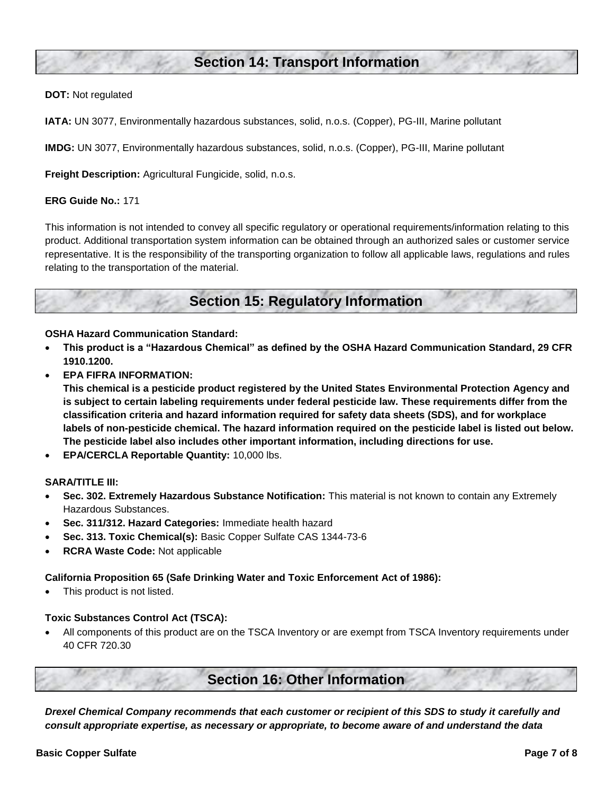### **Section 14: Transport Information**

#### **DOT:** Not regulated

**IATA:** UN 3077, Environmentally hazardous substances, solid, n.o.s. (Copper), PG-III, Marine pollutant

**IMDG:** UN 3077, Environmentally hazardous substances, solid, n.o.s. (Copper), PG-III, Marine pollutant

**Freight Description:** Agricultural Fungicide, solid, n.o.s.

#### **ERG Guide No.:** 171

This information is not intended to convey all specific regulatory or operational requirements/information relating to this product. Additional transportation system information can be obtained through an authorized sales or customer service representative. It is the responsibility of the transporting organization to follow all applicable laws, regulations and rules relating to the transportation of the material.

### **Section 15: Regulatory Information**

**OSHA Hazard Communication Standard:**

- **This product is a "Hazardous Chemical" as defined by the OSHA Hazard Communication Standard, 29 CFR 1910.1200.**
- **EPA FIFRA INFORMATION:**

**This chemical is a pesticide product registered by the United States Environmental Protection Agency and is subject to certain labeling requirements under federal pesticide law. These requirements differ from the classification criteria and hazard information required for safety data sheets (SDS), and for workplace labels of non-pesticide chemical. The hazard information required on the pesticide label is listed out below. The pesticide label also includes other important information, including directions for use.**

**EPA/CERCLA Reportable Quantity:** 10,000 lbs.

#### **SARA/TITLE III:**

- **Sec. 302. Extremely Hazardous Substance Notification:** This material is not known to contain any Extremely Hazardous Substances.
- **Sec. 311/312. Hazard Categories:** Immediate health hazard
- **Sec. 313. Toxic Chemical(s):** Basic Copper Sulfate CAS 1344-73-6
- **RCRA Waste Code:** Not applicable

#### **California Proposition 65 (Safe Drinking Water and Toxic Enforcement Act of 1986):**

This product is not listed.

#### **Toxic Substances Control Act (TSCA):**

 All components of this product are on the TSCA Inventory or are exempt from TSCA Inventory requirements under 40 CFR 720.30

### **Section 16: Other Information**

*Drexel Chemical Company recommends that each customer or recipient of this SDS to study it carefully and consult appropriate expertise, as necessary or appropriate, to become aware of and understand the data*